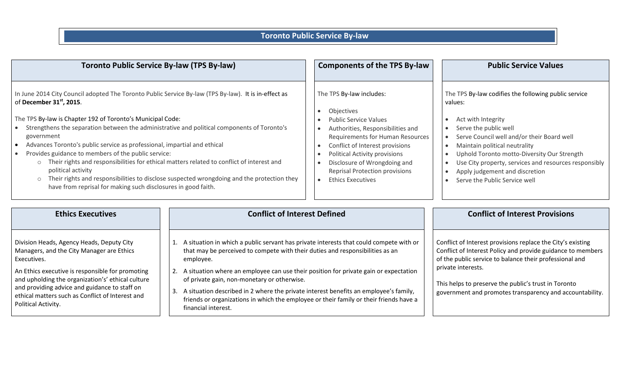## **Toronto Public Service By-law**

| <b>Toronto Public Service By-law (TPS By-law)</b>                                                                                                                                                                                                                                                                                                                                                                                                                                                                                                                                                                                                                                                                                          |                                                                                                                                                                                                                                                                                                                                                                                                                                                                                                                                                  | <b>Components of the TPS By-law</b>                                                                                                                                                                                                                                                                                                                                                                           | <b>Public Service Values</b>                                                                                                                                                                                                                                                                                                                                                                                                                           |
|--------------------------------------------------------------------------------------------------------------------------------------------------------------------------------------------------------------------------------------------------------------------------------------------------------------------------------------------------------------------------------------------------------------------------------------------------------------------------------------------------------------------------------------------------------------------------------------------------------------------------------------------------------------------------------------------------------------------------------------------|--------------------------------------------------------------------------------------------------------------------------------------------------------------------------------------------------------------------------------------------------------------------------------------------------------------------------------------------------------------------------------------------------------------------------------------------------------------------------------------------------------------------------------------------------|---------------------------------------------------------------------------------------------------------------------------------------------------------------------------------------------------------------------------------------------------------------------------------------------------------------------------------------------------------------------------------------------------------------|--------------------------------------------------------------------------------------------------------------------------------------------------------------------------------------------------------------------------------------------------------------------------------------------------------------------------------------------------------------------------------------------------------------------------------------------------------|
| In June 2014 City Council adopted The Toronto Public Service By-law (TPS By-law). It is in-effect as<br>of December 31st, 2015.<br>The TPS By-law is Chapter 192 of Toronto's Municipal Code:<br>Strengthens the separation between the administrative and political components of Toronto's<br>government<br>Advances Toronto's public service as professional, impartial and ethical<br>Provides guidance to members of the public service:<br>Their rights and responsibilities for ethical matters related to conflict of interest and<br>political activity<br>Their rights and responsibilities to disclose suspected wrongdoing and the protection they<br>$\circ$<br>have from reprisal for making such disclosures in good faith. |                                                                                                                                                                                                                                                                                                                                                                                                                                                                                                                                                  | The TPS By-law includes:<br>Objectives<br>$\bullet$<br><b>Public Service Values</b><br>Authorities, Responsibilities and<br>$\bullet$<br>Requirements for Human Resources<br>Conflict of Interest provisions<br>$\bullet$<br><b>Political Activity provisions</b><br>$\bullet$<br>Disclosure of Wrongdoing and<br>$\bullet$<br><b>Reprisal Protection provisions</b><br><b>Ethics Executives</b><br>$\bullet$ | The TPS By-law codifies the following public service<br>values:<br>Act with Integrity<br>$\bullet$<br>Serve the public well<br>$\bullet$<br>Serve Council well and/or their Board well<br>$\bullet$<br>Maintain political neutrality<br>$\bullet$<br>Uphold Toronto motto-Diversity Our Strength<br>$\bullet$<br>Use City property, services and resources responsibly<br>$\bullet$<br>Apply judgement and discretion<br>Serve the Public Service well |
| <b>Ethics Executives</b>                                                                                                                                                                                                                                                                                                                                                                                                                                                                                                                                                                                                                                                                                                                   | <b>Conflict of Interest Defined</b>                                                                                                                                                                                                                                                                                                                                                                                                                                                                                                              |                                                                                                                                                                                                                                                                                                                                                                                                               | <b>Conflict of Interest Provisions</b>                                                                                                                                                                                                                                                                                                                                                                                                                 |
| Division Heads, Agency Heads, Deputy City<br>Managers, and the City Manager are Ethics<br>Executives.<br>An Ethics executive is responsible for promoting<br>and upholding the organization's' ethical culture<br>and providing advice and guidance to staff on<br>ethical matters such as Conflict of Interest and<br>Political Activity.                                                                                                                                                                                                                                                                                                                                                                                                 | A situation in which a public servant has private interests that could compete with or<br>that may be perceived to compete with their duties and responsibilities as an<br>employee.<br>A situation where an employee can use their position for private gain or expectation<br>2.<br>of private gain, non-monetary or otherwise.<br>A situation described in 2 where the private interest benefits an employee's family,<br>3.<br>friends or organizations in which the employee or their family or their friends have a<br>financial interest. |                                                                                                                                                                                                                                                                                                                                                                                                               | Conflict of Interest provisions replace the City's existing<br>Conflict of Interest Policy and provide guidance to members<br>of the public service to balance their professional and<br>private interests.<br>This helps to preserve the public's trust in Toronto<br>government and promotes transparency and accountability.                                                                                                                        |